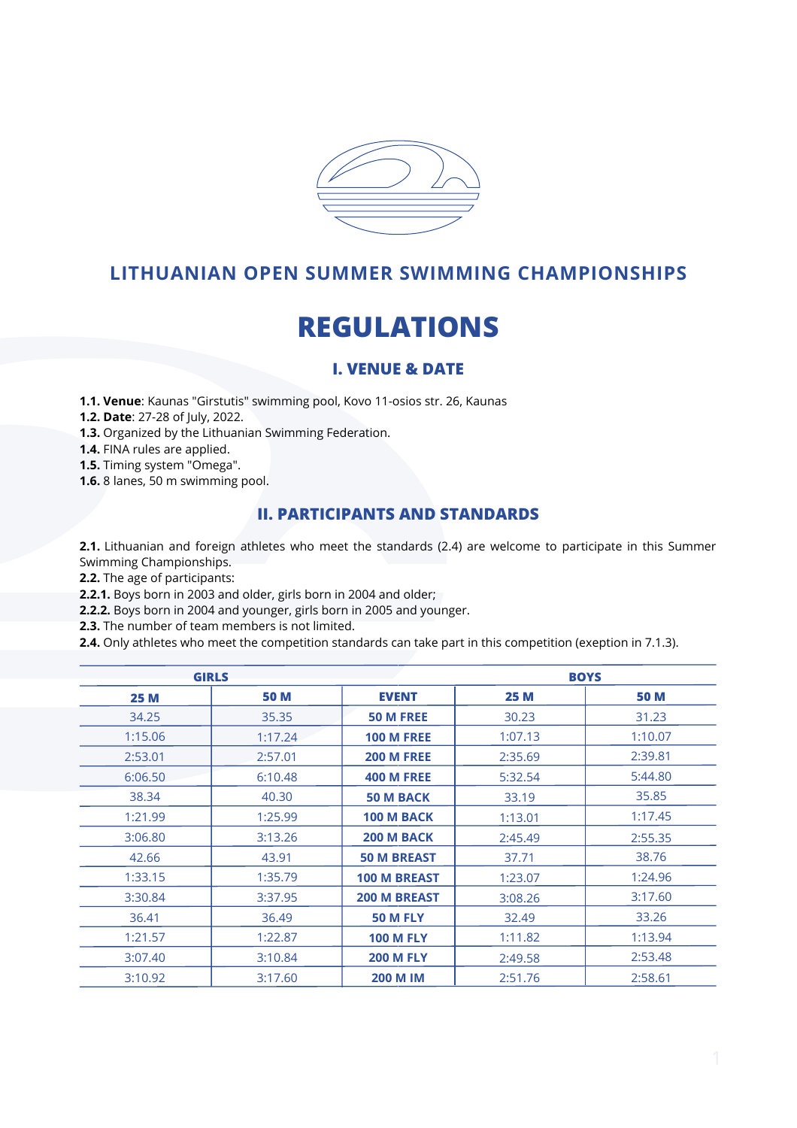

## **LITHUANIAN OPEN SUMMER SWIMMING CHAMPIONSHIPS**

# **REGULATIONS**

## **I. VENUE & DATE**

**1.1. Venue**: Kaunas "Girstutis" swimming pool, Kovo 11-osios str. 26, Kaunas

**1.2. Date**: 27-28 of July, 2022.

**1.3.** Organized by the Lithuanian Swimming Federation.

**1.4.** FINA rules are applied.

**1.5.** Timing system "Omega".

**1.6.** 8 lanes, 50 m swimming pool.

## **II. PARTICIPANTS AND STANDARDS**

**2.1.** Lithuanian and foreign athletes who meet the standards (2.4) are welcome to participate in this Summer Swimming Championships.

**2.2.** The age of participants:

**2.2.1.** Boys born in 2003 and older, girls born in 2004 and older;

**2.2.2.** Boys born in 2004 and younger, girls born in 2005 and younger.

**2.3.** The number of team members is not limited.

**2.4.** Only athletes who meet the competition standards can take part in this competition (exeption in 7.1.3).

| <b>GIRLS</b> |             |                     | <b>BOYS</b> |             |  |
|--------------|-------------|---------------------|-------------|-------------|--|
| <b>25 M</b>  | <b>50 M</b> | <b>EVENT</b>        | <b>25 M</b> | <b>50 M</b> |  |
| 34.25        | 35.35       | <b>50 M FREE</b>    | 30.23       | 31.23       |  |
| 1:15.06      | 1:17.24     | <b>100 M FREE</b>   | 1:07.13     | 1:10.07     |  |
| 2:53.01      | 2:57.01     | <b>200 M FREE</b>   | 2:35.69     | 2:39.81     |  |
| 6:06.50      | 6:10.48     | <b>400 M FREE</b>   | 5:32.54     | 5:44.80     |  |
| 38.34        | 40.30       | <b>50 M BACK</b>    | 33.19       | 35.85       |  |
| 1:21.99      | 1:25.99     | 100 M BACK          | 1:13.01     | 1:17.45     |  |
| 3:06.80      | 3:13.26     | 200 M BACK          | 2:45.49     | 2:55.35     |  |
| 42.66        | 43.91       | <b>50 M BREAST</b>  | 37.71       | 38.76       |  |
| 1:33.15      | 1:35.79     | <b>100 M BREAST</b> | 1:23.07     | 1:24.96     |  |
| 3:30.84      | 3:37.95     | <b>200 M BREAST</b> | 3:08.26     | 3:17.60     |  |
| 36.41        | 36.49       | <b>50 M FLY</b>     | 32.49       | 33.26       |  |
| 1:21.57      | 1:22.87     | <b>100 M FLY</b>    | 1:11.82     | 1:13.94     |  |
| 3:07.40      | 3:10.84     | <b>200 M FLY</b>    | 2:49.58     | 2:53.48     |  |
| 3:10.92      | 3:17.60     | <b>200 M IM</b>     | 2:51.76     | 2:58.61     |  |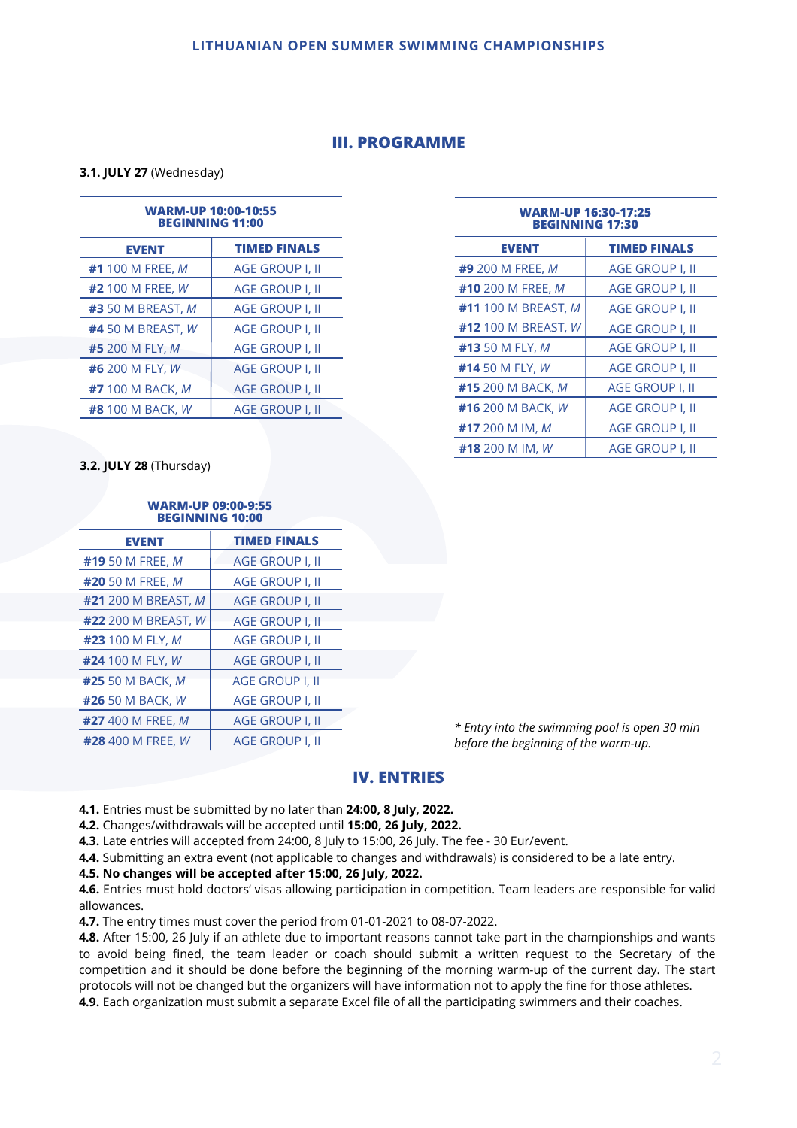## **III. PROGRAMME**

**3.1. JULY 27** (Wednesday)

|                               | <b>WARM-UP 10:00-10:55</b><br><b>BEGINNING 11:00</b> | WA<br>в              |
|-------------------------------|------------------------------------------------------|----------------------|
| <b>EVENT</b>                  | <b>TIMED FINALS</b>                                  | <b>EVENT</b>         |
| #1 100 M FREE, M              | <b>AGE GROUP I, II</b>                               | #9 200 M FREE        |
| #2 100 M FREE, W              | <b>AGE GROUP I, II</b>                               | #10 200 M FRE        |
| <b>#3</b> 50 M BREAST, M      | AGE GROUP I, II                                      | #11 100 M BRE        |
| <b>#4 50 M BREAST, W</b>      | AGE GROUP I, II                                      | #12 100 M BRE        |
| <b>#5</b> 200 M FLY, <i>M</i> | AGE GROUP I. II                                      | <b>#13</b> 50 M FLY, |
| #6 200 M FLY, W               | <b>AGE GROUP I, II</b>                               | #14 50 M FLY, I      |
| <b>#7</b> 100 M BACK, M       | <b>AGE GROUP I. II</b>                               | #15 200 M BAC        |
| <b>#8 100 M BACK, W</b>       | <b>AGE GROUP I, II</b>                               | #16 200 M BAC        |
|                               |                                                      |                      |

| <b>WARM-UP 16:30-17:25</b><br><b>BEGINNING 17:30</b> |                        |  |
|------------------------------------------------------|------------------------|--|
| <b>EVENT</b>                                         | <b>TIMED FINALS</b>    |  |
| <b>#9 200 M FREE, M</b>                              | AGE GROUP I, II        |  |
| #10 200 M FREE, M                                    | AGE GROUP I, II        |  |
| <b>#11</b> 100 M BREAST, M                           | AGE GROUP I, II        |  |
| #12 100 M BREAST, W                                  | AGE GROUP I, II        |  |
| #13 50 M FLY, M                                      | AGE GROUP I, II        |  |
| #14 50 M FLY, W                                      | AGE GROUP I, II        |  |
| #15 200 M BACK, M                                    | AGE GROUP I, II        |  |
| #16 200 M BACK, W                                    | <b>AGE GROUP I, II</b> |  |
| #17 200 M IM, M                                      | <b>AGE GROUP I, II</b> |  |
| #18 200 M IM, W                                      | AGE GROUP I. II        |  |

#### **3.2. JULY 28** (Thursday)

| <b>WARM-UP 09:00-9:55</b><br><b>BEGINNING 10:00</b> |                        |  |  |
|-----------------------------------------------------|------------------------|--|--|
| <b>EVENT</b>                                        | <b>TIMED FINALS</b>    |  |  |
| #19 50 M FREE, M                                    | AGE GROUP I, II        |  |  |
| <b>#20</b> 50 M FREE, M                             | AGE GROUP I, II        |  |  |
| #21 200 M BREAST, M                                 | <b>AGE GROUP I, II</b> |  |  |
| #22 200 M BREAST, W                                 | <b>AGE GROUP I, II</b> |  |  |
| #23 100 M FLY, M                                    | <b>AGE GROUP I, II</b> |  |  |
| #24 100 M FLY, W                                    | <b>AGE GROUP I, II</b> |  |  |
| <b>#25</b> 50 M BACK, M                             | <b>AGE GROUP I, II</b> |  |  |
| <b>#26</b> 50 M BACK, W                             | <b>AGE GROUP I, II</b> |  |  |
| #27 400 M FREE, M                                   | <b>AGE GROUP I, II</b> |  |  |
| #28 400 M FREE, W                                   | <b>AGE GROUP I, II</b> |  |  |

*\* Entry into the swimming pool is open 30 min before the beginning of the warm-up.*

## **IV. ENTRIES**

**4.1.** Entries must be submitted by no later than **24:00, 8 July, 2022.**

**4.2.** Changes/withdrawals will be accepted until **15:00, 26 July, 2022.**

**4.3.** Late entries will accepted from 24:00, 8 July to 15:00, 26 July. The fee - 30 Eur/event.

**4.4.** Submitting an extra event (not applicable to changes and withdrawals) is considered to be a late entry.

#### **4.5. No changes will be accepted after 15:00, 26 July, 2022.**

**4.6.** Entries must hold doctors' visas allowing participation in competition. Team leaders are responsible for valid allowances.

**4.7.** The entry times must cover the period from 01-01-2021 to 08-07-2022.

**4.8.** After 15:00, 26 July if an athlete due to important reasons cannot take part in the championships and wants to avoid being fined, the team leader or coach should submit a written request to the Secretary of the competition and it should be done before the beginning of the morning warm-up of the current day. The start protocols will not be changed but the organizers will have information not to apply the fine for those athletes.

**4.9.** Each organization must submit a separate Excel file of all the participating swimmers and their coaches.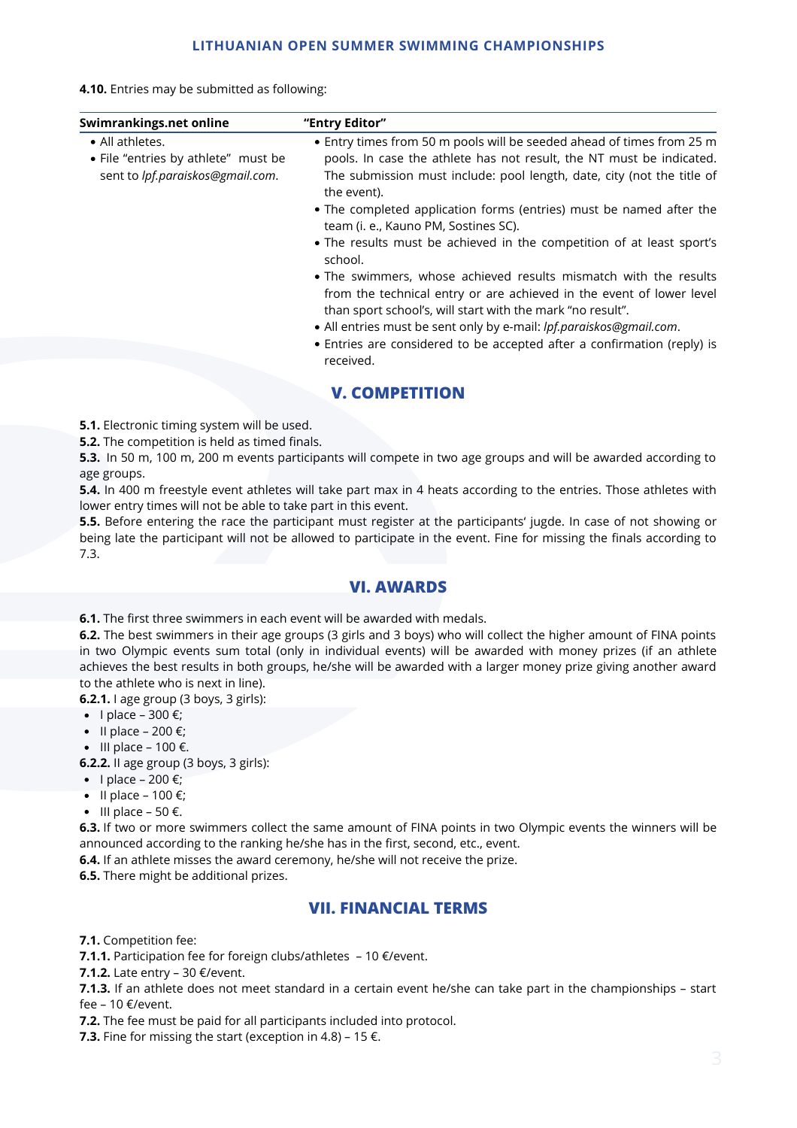#### **LITHUANIAN OPEN SUMMER SWIMMING CHAMPIONSHIPS**

**4.10.** Entries may be submitted as following:

| Swimrankings.net online                                                                    | "Entry Editor"                                                                                                                                                                                                                                                                                                |
|--------------------------------------------------------------------------------------------|---------------------------------------------------------------------------------------------------------------------------------------------------------------------------------------------------------------------------------------------------------------------------------------------------------------|
| • All athletes.<br>• File "entries by athlete" must be<br>sent to lpf.paraiskos@gmail.com. | • Entry times from 50 m pools will be seeded ahead of times from 25 m<br>pools. In case the athlete has not result, the NT must be indicated.<br>The submission must include: pool length, date, city (not the title of<br>the event).<br>• The completed application forms (entries) must be named after the |
|                                                                                            | team (i. e., Kauno PM, Sostines SC).<br>• The results must be achieved in the competition of at least sport's<br>school.                                                                                                                                                                                      |
|                                                                                            | • The swimmers, whose achieved results mismatch with the results<br>from the technical entry or are achieved in the event of lower level<br>than sport school's, will start with the mark "no result".<br>• All entries must be sent only by e-mail: lpf.paraiskos@gmail.com.                                 |
|                                                                                            | • Entries are considered to be accepted after a confirmation (reply) is<br>received.                                                                                                                                                                                                                          |

## **V. COMPETITION**

**5.1.** Electronic timing system will be used.

**5.2.** The competition is held as timed finals.

**5.3.** In 50 m, 100 m, 200 m events participants will compete in two age groups and will be awarded according to age groups.

**5.4.** In 400 m freestyle event athletes will take part max in 4 heats according to the entries. Those athletes with lower entry times will not be able to take part in this event.

**5.5.** Before entering the race the participant must register at the participants' jugde. In case of not showing or being late the participant will not be allowed to participate in the event. Fine for missing the finals according to 7.3.

## **VI. AWARDS**

**6.1.** The first three swimmers in each event will be awarded with medals.

**6.2.** The best swimmers in their age groups (3 girls and 3 boys) who will collect the higher amount of FINA points in two Olympic events sum total (only in individual events) will be awarded with money prizes (if an athlete achieves the best results in both groups, he/she will be awarded with a larger money prize giving another award to the athlete who is next in line).

**6.2.1.** I age group (3 boys, 3 girls):

- $\bullet$  I place 300 €;
- $\bullet$  II place 200 €;
- $\bullet$  III place 100 €.

**6.2.2.** II age group (3 boys, 3 girls):

- $\bullet$  I place 200 €;
- $\bullet$  II place 100 €;
- $\bullet$  III place 50 €.

**6.3.** If two or more swimmers collect the same amount of FINA points in two Olympic events the winners will be announced according to the ranking he/she has in the first, second, etc., event.

**6.4.** If an athlete misses the award ceremony, he/she will not receive the prize.

**6.5.** There might be additional prizes.

## **VII. FINANCIAL TERMS**

**7.1.** Competition fee:

**7.1.1.** Participation fee for foreign clubs/athletes - 10 €/event.

**7.1.2.** Late entry – 30 €/event.

**7.1.3.** If an athlete does not meet standard in a certain event he/she can take part in the championships – start fee – 10 €/event.

**7.2.** The fee must be paid for all participants included into protocol.

**7.3.** Fine for missing the start (exception in 4.8) – 15 €.